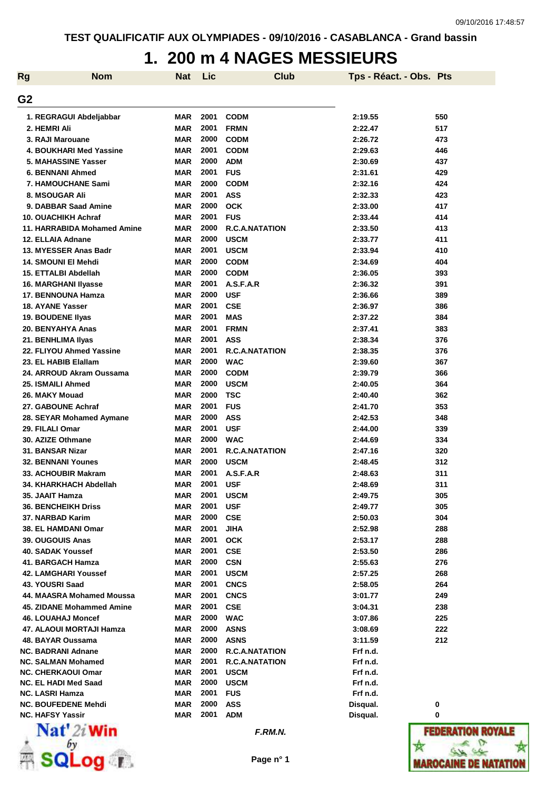# **1. 200 m 4 NAGES MESSIEURS**

| <b>Rg</b>      | <b>Nom</b>                              | <b>Nat</b> | Lic  | <b>Club</b>           | Tps - Réact. - Obs. Pts |     |
|----------------|-----------------------------------------|------------|------|-----------------------|-------------------------|-----|
|                |                                         |            |      |                       |                         |     |
| G <sub>2</sub> |                                         |            |      |                       |                         |     |
|                | 1. REGRAGUI Abdeljabbar                 | <b>MAR</b> | 2001 | <b>CODM</b>           | 2:19.55                 | 550 |
|                | 2. HEMRI Ali                            | <b>MAR</b> | 2001 | <b>FRMN</b>           | 2:22.47                 | 517 |
|                | 3. RAJI Marouane                        | <b>MAR</b> | 2000 | <b>CODM</b>           | 2:26.72                 | 473 |
|                | 4. BOUKHARI Med Yassine                 | <b>MAR</b> | 2001 | <b>CODM</b>           | 2:29.63                 | 446 |
|                | 5. MAHASSINE Yasser                     | <b>MAR</b> | 2000 | <b>ADM</b>            | 2:30.69                 | 437 |
|                | <b>6. BENNANI Ahmed</b>                 | <b>MAR</b> | 2001 | <b>FUS</b>            | 2:31.61                 | 429 |
|                | <b>7. HAMOUCHANE Sami</b>               | <b>MAR</b> | 2000 | <b>CODM</b>           | 2:32.16                 | 424 |
|                | 8. MSOUGAR Ali                          | <b>MAR</b> | 2001 | <b>ASS</b>            | 2:32.33                 | 423 |
|                | 9. DABBAR Saad Amine                    | <b>MAR</b> | 2000 | <b>OCK</b>            | 2:33.00                 | 417 |
|                | 10. OUACHIKH Achraf                     | <b>MAR</b> | 2001 | <b>FUS</b>            | 2:33.44                 | 414 |
|                | 11. HARRABIDA Mohamed Amine             | <b>MAR</b> | 2000 | <b>R.C.A.NATATION</b> | 2:33.50                 | 413 |
|                | 12. ELLAIA Adnane                       | <b>MAR</b> | 2000 | <b>USCM</b>           | 2:33.77                 | 411 |
|                | 13. MYESSER Anas Badr                   | <b>MAR</b> | 2001 | <b>USCM</b>           | 2:33.94                 | 410 |
|                | 14. SMOUNI EI Mehdi                     | <b>MAR</b> | 2000 | <b>CODM</b>           | 2:34.69                 | 404 |
|                | 15. ETTALBI Abdellah                    | <b>MAR</b> | 2000 | <b>CODM</b>           | 2:36.05                 | 393 |
|                | <b>16. MARGHANI Ilyasse</b>             | <b>MAR</b> | 2001 | A.S.F.A.R             | 2:36.32                 | 391 |
|                | 17. BENNOUNA Hamza                      | <b>MAR</b> | 2000 | <b>USF</b>            | 2:36.66                 | 389 |
|                | 18. AYANE Yasser                        | <b>MAR</b> | 2001 | <b>CSE</b>            | 2:36.97                 | 386 |
|                | 19. BOUDENE Ilyas                       | <b>MAR</b> | 2001 | <b>MAS</b>            | 2:37.22                 | 384 |
|                | 20. BENYAHYA Anas                       | <b>MAR</b> | 2001 | <b>FRMN</b>           | 2:37.41                 | 383 |
|                | 21. BENHLIMA Ilyas                      | <b>MAR</b> | 2001 | <b>ASS</b>            | 2:38.34                 | 376 |
|                | 22. FLIYOU Ahmed Yassine                | <b>MAR</b> | 2001 | <b>R.C.A.NATATION</b> | 2:38.35                 | 376 |
|                | 23. EL HABIB Elallam                    | <b>MAR</b> | 2000 | <b>WAC</b>            | 2:39.60                 | 367 |
|                | 24. ARROUD Akram Oussama                | <b>MAR</b> | 2000 | <b>CODM</b>           | 2:39.79                 | 366 |
|                | 25. ISMAILI Ahmed                       | <b>MAR</b> | 2000 | <b>USCM</b>           | 2:40.05                 | 364 |
|                | 26. MAKY Mouad                          | MAR        | 2000 | <b>TSC</b>            | 2:40.40                 | 362 |
|                | 27. GABOUNE Achraf                      | <b>MAR</b> | 2001 | <b>FUS</b>            | 2:41.70                 | 353 |
|                | 28. SEYAR Mohamed Aymane                | <b>MAR</b> | 2000 | <b>ASS</b>            | 2:42.53                 | 348 |
|                | 29. FILALI Omar                         | <b>MAR</b> | 2001 | <b>USF</b>            | 2:44.00                 | 339 |
|                | 30. AZIZE Othmane                       | <b>MAR</b> | 2000 | <b>WAC</b>            | 2:44.69                 | 334 |
|                | 31. BANSAR Nizar                        | <b>MAR</b> | 2001 | <b>R.C.A.NATATION</b> | 2:47.16                 | 320 |
|                | <b>32. BENNANI Younes</b>               | <b>MAR</b> | 2000 | <b>USCM</b>           | 2:48.45                 | 312 |
|                | 33. ACHOUBIR Makram                     | MAR        | 2001 | A.S.F.A.R             | 2:48.63                 | 311 |
|                | 34. KHARKHACH Abdellah                  | <b>MAR</b> | 2001 | <b>USF</b>            | 2:48.69                 | 311 |
|                | 35. JAAIT Hamza                         | MAR        | 2001 | <b>USCM</b>           | 2:49.75                 | 305 |
|                | <b>36. BENCHEIKH Driss</b>              | MAR        | 2001 | <b>USF</b>            | 2:49.77                 | 305 |
|                | 37. NARBAD Karim                        | <b>MAR</b> | 2000 | <b>CSE</b>            | 2:50.03                 | 304 |
|                | 38. EL HAMDANI Omar                     | MAR        | 2001 | <b>JIHA</b>           | 2:52.98                 | 288 |
|                | 39. OUGOUIS Anas                        | MAR        | 2001 | <b>OCK</b>            | 2:53.17                 | 288 |
|                | 40. SADAK Youssef                       | MAR        | 2001 | <b>CSE</b>            | 2:53.50                 | 286 |
|                | 41. BARGACH Hamza                       | MAR        | 2000 | <b>CSN</b>            | 2:55.63                 | 276 |
|                | 42. LAMGHARI Youssef                    | MAR        | 2001 | <b>USCM</b>           | 2:57.25                 | 268 |
|                | 43. YOUSRI Saad                         | <b>MAR</b> | 2001 | <b>CNCS</b>           | 2:58.05                 | 264 |
|                | 44. MAASRA Mohamed Moussa               | <b>MAR</b> | 2001 | <b>CNCS</b>           | 3:01.77                 | 249 |
|                | 45. ZIDANE Mohammed Amine               | <b>MAR</b> | 2001 | <b>CSE</b>            | 3:04.31                 | 238 |
|                | <b>46. LOUAHAJ Moncef</b>               | <b>MAR</b> | 2000 | <b>WAC</b>            | 3:07.86                 | 225 |
|                | 47. ALAOUI MORTAJI Hamza                | <b>MAR</b> | 2000 | <b>ASNS</b>           | 3:08.69                 | 222 |
|                | 48. BAYAR Oussama                       | <b>MAR</b> | 2000 | <b>ASNS</b>           | 3:11.59                 | 212 |
|                | <b>NC. BADRANI Adnane</b>               | MAR        | 2000 | <b>R.C.A.NATATION</b> | Frf n.d.                |     |
|                | <b>NC. SALMAN Mohamed</b>               | MAR        | 2001 | <b>R.C.A.NATATION</b> | Frf n.d.                |     |
|                | <b>NC. CHERKAOUI Omar</b>               | <b>MAR</b> | 2001 | <b>USCM</b>           | Frf n.d.                |     |
|                | <b>NC. EL HADI Med Saad</b>             | <b>MAR</b> | 2000 | <b>USCM</b>           | Frf n.d.                |     |
|                | <b>NC. LASRI Hamza</b>                  | MAR        | 2001 | <b>FUS</b>            | Frf n.d.                |     |
|                | <b>NC. BOUFEDENE Mehdi</b>              | MAR        | 2000 | <b>ASS</b>            | Disqual.                | 0   |
|                | <b>NC. HAFSY Yassir</b><br><b>BY</b> 18 | <b>MAR</b> | 2001 | <b>ADM</b>            | Disqual.                | 0   |



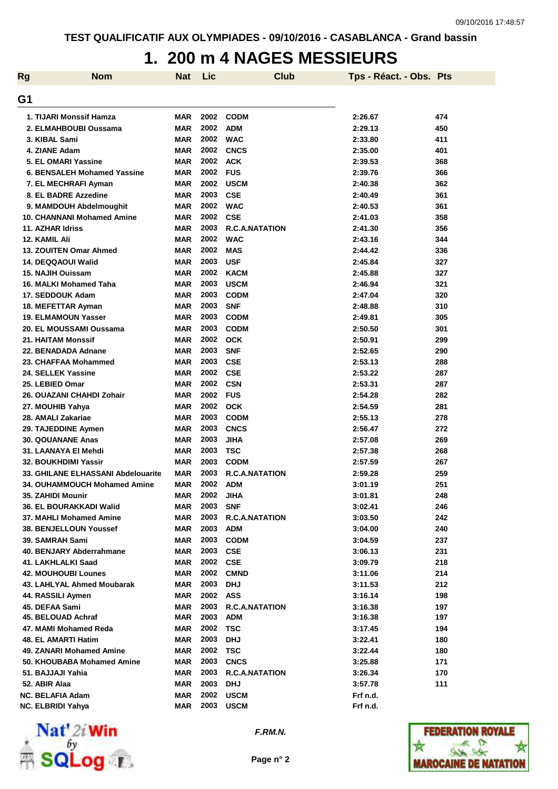### **1. 200 m 4 NAGES MESSIEURS**

| <b>Rg</b> | <b>Nom</b>                         | <b>Nat</b> | Lic  | <b>Club</b>           | Tps - Réact. - Obs. Pts |     |
|-----------|------------------------------------|------------|------|-----------------------|-------------------------|-----|
| G1        |                                    |            |      |                       |                         |     |
|           | 1. TIJARI Monssif Hamza            | <b>MAR</b> | 2002 | <b>CODM</b>           | 2:26.67                 | 474 |
|           | 2. ELMAHBOUBI Oussama              | <b>MAR</b> | 2002 | <b>ADM</b>            | 2:29.13                 | 450 |
|           | 3. KIBAL Sami                      | <b>MAR</b> | 2002 | <b>WAC</b>            | 2:33.80                 | 411 |
|           | 4. ZIANE Adam                      | <b>MAR</b> | 2002 | <b>CNCS</b>           | 2:35.00                 | 401 |
|           | 5. EL OMARI Yassine                | <b>MAR</b> | 2002 | <b>ACK</b>            | 2:39.53                 | 368 |
|           | 6. BENSALEH Mohamed Yassine        | <b>MAR</b> | 2002 | <b>FUS</b>            | 2:39.76                 | 366 |
|           | 7. EL MECHRAFI Ayman               | <b>MAR</b> | 2002 | <b>USCM</b>           | 2:40.38                 | 362 |
|           | 8. EL BADRE Azzedine               | <b>MAR</b> | 2003 | <b>CSE</b>            | 2:40.49                 | 361 |
|           | 9. MAMDOUH Abdelmoughit            | <b>MAR</b> | 2002 | <b>WAC</b>            | 2:40.53                 | 361 |
|           | <b>10. CHANNANI Mohamed Amine</b>  | <b>MAR</b> | 2002 | <b>CSE</b>            | 2:41.03                 | 358 |
|           | 11. AZHAR Idriss                   | <b>MAR</b> | 2003 | <b>R.C.A.NATATION</b> | 2:41.30                 | 356 |
|           | 12. KAMIL Ali                      | <b>MAR</b> | 2002 | <b>WAC</b>            | 2:43.16                 | 344 |
|           | 13. ZOUITEN Omar Ahmed             | <b>MAR</b> | 2002 | <b>MAS</b>            | 2:44.42                 | 336 |
|           | 14. DEQQAOUI Walid                 | <b>MAR</b> | 2003 | <b>USF</b>            | 2:45.84                 | 327 |
|           | 15. NAJIH Ouissam                  | <b>MAR</b> | 2002 | <b>KACM</b>           | 2:45.88                 | 327 |
|           | 16. MALKI Mohamed Taha             | <b>MAR</b> | 2003 | <b>USCM</b>           | 2:46.94                 | 321 |
|           | 17. SEDDOUK Adam                   | <b>MAR</b> | 2003 | <b>CODM</b>           | 2:47.04                 | 320 |
|           | 18. MEFETTAR Ayman                 | <b>MAR</b> | 2003 | <b>SNF</b>            | 2:48.88                 | 310 |
|           | <b>19. ELMAMOUN Yasser</b>         | <b>MAR</b> | 2003 | <b>CODM</b>           | 2:49.81                 | 305 |
|           | 20. EL MOUSSAMI Oussama            | <b>MAR</b> | 2003 | <b>CODM</b>           | 2:50.50                 | 301 |
|           | <b>21. HAITAM Monssif</b>          | <b>MAR</b> | 2002 | <b>OCK</b>            | 2:50.91                 | 299 |
|           | 22. BENADADA Adnane                | <b>MAR</b> | 2003 | <b>SNF</b>            | 2:52.65                 | 290 |
|           | 23. CHAFFAA Mohammed               | <b>MAR</b> | 2003 | <b>CSE</b>            | 2:53.13                 | 288 |
|           | 24. SELLEK Yassine                 | <b>MAR</b> | 2002 | <b>CSE</b>            | 2:53.22                 | 287 |
|           | 25. LEBIED Omar                    | <b>MAR</b> | 2002 | <b>CSN</b>            | 2:53.31                 | 287 |
|           | 26. OUAZANI CHAHDI Zohair          | <b>MAR</b> | 2002 | <b>FUS</b>            | 2:54.28                 | 282 |
|           | 27. MOUHIB Yahya                   | <b>MAR</b> | 2002 | <b>OCK</b>            | 2:54.59                 | 281 |
|           | 28. AMALI Zakariae                 | <b>MAR</b> | 2003 | <b>CODM</b>           | 2:55.13                 | 278 |
|           | 29. TAJEDDINE Aymen                | <b>MAR</b> | 2003 | <b>CNCS</b>           | 2:56.47                 | 272 |
|           | <b>30. QOUANANE Anas</b>           | <b>MAR</b> | 2003 | <b>JIHA</b>           | 2:57.08                 | 269 |
|           | 31. LAANAYA EI Mehdi               | <b>MAR</b> | 2003 | <b>TSC</b>            | 2:57.38                 | 268 |
|           | 32. BOUKHDIMI Yassir               | <b>MAR</b> | 2003 | <b>CODM</b>           | 2:57.59                 | 267 |
|           | 33. GHILANE ELHASSANI Abdelouarite | <b>MAR</b> | 2003 | <b>R.C.A.NATATION</b> | 2:59.28                 | 259 |
|           | 34. OUHAMMOUCH Mohamed Amine       | <b>MAR</b> | 2002 | <b>ADM</b>            | 3:01.19                 | 251 |
|           | 35. ZAHIDI Mounir                  | MAR        | 2002 | JIHA                  | 3:01.81                 | 248 |
|           | 36. EL BOURAKKADI Walid            | <b>MAR</b> | 2003 | <b>SNF</b>            | 3:02.41                 | 246 |
|           | 37. MAHLI Mohamed Amine            | <b>MAR</b> | 2003 | <b>R.C.A.NATATION</b> | 3:03.50                 | 242 |
|           | 38. BENJELLOUN Youssef             | MAR        | 2003 | <b>ADM</b>            | 3:04.00                 | 240 |
|           | 39. SAMRAH Sami                    | MAR        | 2003 | <b>CODM</b>           | 3:04.59                 | 237 |
|           | 40. BENJARY Abderrahmane           | MAR        | 2003 | <b>CSE</b>            | 3:06.13                 | 231 |
|           | 41. LAKHLALKI Saad                 | MAR        | 2002 | <b>CSE</b>            | 3:09.79                 | 218 |
|           | 42. MOUHOUBI Lounes                | MAR        | 2002 | <b>CMND</b>           | 3:11.06                 | 214 |
|           | 43. LAHLYAL Ahmed Moubarak         | MAR        | 2003 | <b>DHJ</b>            | 3:11.53                 | 212 |
|           | 44. RASSILI Aymen                  | MAR        | 2002 | <b>ASS</b>            | 3:16.14                 | 198 |
|           | 45. DEFAA Sami                     | MAR        | 2003 | <b>R.C.A.NATATION</b> | 3:16.38                 | 197 |
|           | 45. BELOUAD Achraf                 | MAR        | 2003 | <b>ADM</b>            | 3:16.38                 | 197 |
|           | 47. MAMI Mohamed Reda              | MAR        | 2002 | <b>TSC</b>            | 3:17.45                 | 194 |
|           | 48. EL AMARTI Hatim                | <b>MAR</b> | 2003 | <b>DHJ</b>            | 3:22.41                 | 180 |
|           | 49. ZANARI Mohamed Amine           | MAR        | 2002 | <b>TSC</b>            | 3:22.44                 | 180 |
|           | 50. KHOUBABA Mohamed Amine         | MAR        | 2003 | <b>CNCS</b>           | 3:25.88                 | 171 |
|           | 51. BAJJAJI Yahia                  | MAR        | 2003 | <b>R.C.A.NATATION</b> | 3:26.34                 | 170 |
|           | 52. ABIR Alaa                      | <b>MAR</b> | 2003 | <b>DHJ</b>            | 3:57.78                 | 111 |
|           | <b>NC. BELAFIA Adam</b>            | <b>MAR</b> | 2002 | <b>USCM</b>           | Frf n.d.                |     |
|           | <b>NC. ELBRIDI Yahya</b>           | <b>MAR</b> | 2003 | <b>USCM</b>           | Frf n.d.                |     |



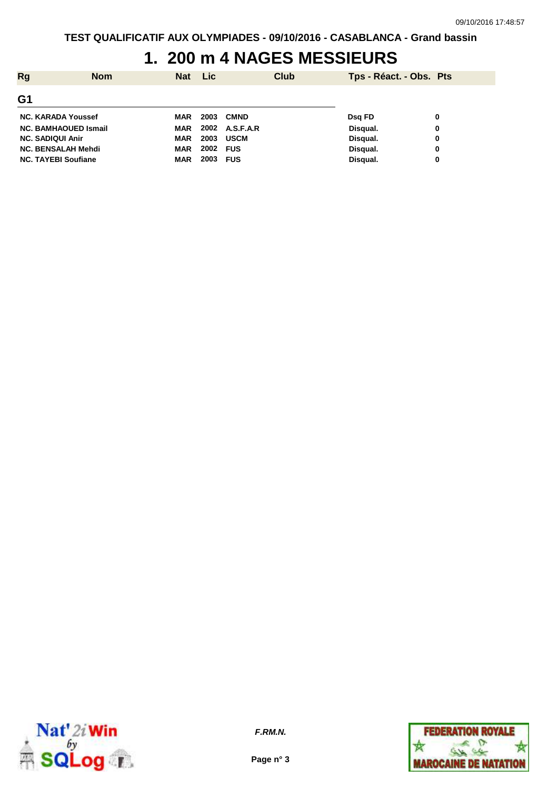## **1. 200 m 4 NAGES MESSIEURS**

| <b>Rg</b>               | <b>Nom</b>                  | <b>Nat</b> | <b>Lic</b> | Club        | Tps - Réact. - Obs. Pts |   |
|-------------------------|-----------------------------|------------|------------|-------------|-------------------------|---|
| G <sub>1</sub>          |                             |            |            |             |                         |   |
|                         | <b>NC. KARADA Youssef</b>   | <b>MAR</b> | 2003       | <b>CMND</b> | Dsg FD                  | 0 |
|                         | <b>NC. BAMHAOUED Ismail</b> | <b>MAR</b> | 2002       | A.S.F.A.R   | Disqual.                | 0 |
| <b>NC. SADIQUI Anir</b> |                             | <b>MAR</b> | 2003       | <b>USCM</b> | Disqual.                | 0 |
|                         | <b>NC. BENSALAH Mehdi</b>   | <b>MAR</b> | 2002       | <b>FUS</b>  | Disqual.                | 0 |
|                         | <b>NC. TAYEBI Soufiane</b>  | <b>MAR</b> | 2003       | <b>FUS</b>  | Disqual.                | 0 |



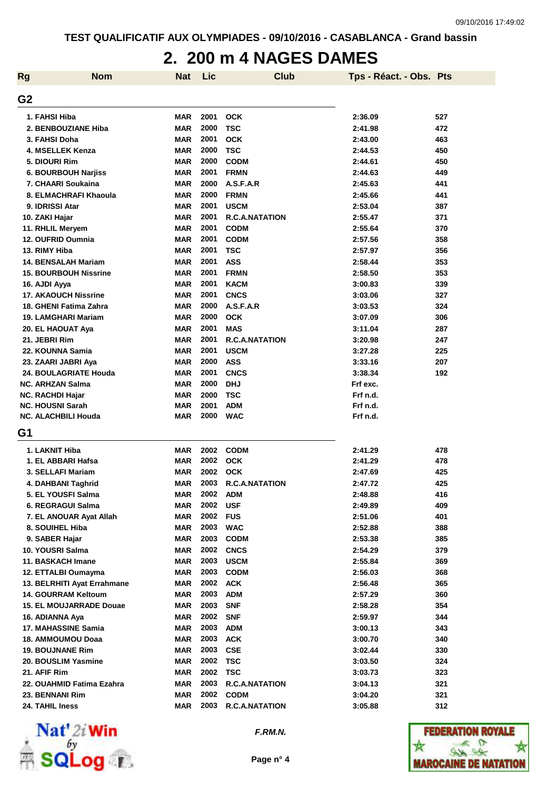#### **2. 200 m 4 NAGES DAMES**

| <b>Rg</b>      | <b>Nom</b>                     | <b>Nat</b> | Lic  | <b>Club</b>           | Tps - Réact. - Obs. Pts |     |
|----------------|--------------------------------|------------|------|-----------------------|-------------------------|-----|
| G <sub>2</sub> |                                |            |      |                       |                         |     |
|                | 1. FAHSI Hiba                  | <b>MAR</b> | 2001 | <b>OCK</b>            | 2:36.09                 | 527 |
|                | 2. BENBOUZIANE Hiba            | <b>MAR</b> | 2000 | <b>TSC</b>            | 2:41.98                 | 472 |
|                | 3. FAHSI Doha                  | <b>MAR</b> | 2001 | <b>OCK</b>            | 2:43.00                 | 463 |
|                | 4. MSELLEK Kenza               | <b>MAR</b> | 2000 | <b>TSC</b>            | 2:44.53                 | 450 |
|                | 5. DIOURI Rim                  | <b>MAR</b> | 2000 | <b>CODM</b>           | 2:44.61                 | 450 |
|                | <b>6. BOURBOUH Narjiss</b>     | <b>MAR</b> | 2001 | <b>FRMN</b>           | 2:44.63                 | 449 |
|                | 7. CHAARI Soukaina             | <b>MAR</b> | 2000 | A.S.F.A.R             | 2:45.63                 | 441 |
|                | 8. ELMACHRAFI Khaoula          | <b>MAR</b> | 2000 | <b>FRMN</b>           | 2:45.66                 | 441 |
|                | 9. IDRISSI Atar                | <b>MAR</b> | 2001 | <b>USCM</b>           | 2:53.04                 | 387 |
|                | 10. ZAKI Hajar                 | <b>MAR</b> | 2001 | <b>R.C.A.NATATION</b> | 2:55.47                 | 371 |
|                | 11. RHLIL Meryem               | <b>MAR</b> | 2001 | <b>CODM</b>           | 2:55.64                 | 370 |
|                | 12. OUFRID Oumnia              | <b>MAR</b> | 2001 | <b>CODM</b>           | 2:57.56                 | 358 |
|                | 13. RIMY Hiba                  | <b>MAR</b> | 2001 | <b>TSC</b>            | 2:57.97                 | 356 |
|                | <b>14. BENSALAH Mariam</b>     | <b>MAR</b> | 2001 | <b>ASS</b>            | 2:58.44                 | 353 |
|                | <b>15. BOURBOUH Nissrine</b>   | <b>MAR</b> | 2001 | <b>FRMN</b>           | 2:58.50                 | 353 |
|                | 16. AJDI Ayya                  | <b>MAR</b> | 2001 | <b>KACM</b>           | 3:00.83                 | 339 |
|                | <b>17. AKAOUCH Nissrine</b>    | <b>MAR</b> | 2001 | <b>CNCS</b>           | 3:03.06                 | 327 |
|                | 18. GHENI Fatima Zahra         | <b>MAR</b> | 2000 | A.S.F.A.R             | 3:03.53                 | 324 |
|                | 19. LAMGHARI Mariam            | <b>MAR</b> | 2000 | <b>OCK</b>            | 3:07.09                 | 306 |
|                | 20. EL HAOUAT Aya              | <b>MAR</b> | 2001 | <b>MAS</b>            | 3:11.04                 | 287 |
|                | 21. JEBRI Rim                  | <b>MAR</b> | 2001 | <b>R.C.A.NATATION</b> | 3:20.98                 | 247 |
|                | 22. KOUNNA Samia               | <b>MAR</b> | 2001 | <b>USCM</b>           | 3:27.28                 | 225 |
|                | 23. ZAARI JABRI Aya            | <b>MAR</b> | 2000 | <b>ASS</b>            | 3:33.16                 | 207 |
|                | 24. BOULAGRIATE Houda          | <b>MAR</b> | 2001 | <b>CNCS</b>           | 3:38.34                 | 192 |
|                | <b>NC. ARHZAN Salma</b>        | <b>MAR</b> | 2000 | <b>DHJ</b>            | Frf exc.                |     |
|                | <b>NC. RACHDI Hajar</b>        | <b>MAR</b> | 2000 | <b>TSC</b>            | Frf n.d.                |     |
|                | <b>NC. HOUSNI Sarah</b>        | <b>MAR</b> | 2001 | <b>ADM</b>            | Frf n.d.                |     |
|                | <b>NC. ALACHBILI Houda</b>     | <b>MAR</b> | 2000 | <b>WAC</b>            | Frf n.d.                |     |
| G1             |                                |            |      |                       |                         |     |
|                | 1. LAKNIT Hiba                 | <b>MAR</b> | 2002 | <b>CODM</b>           | 2:41.29                 | 478 |
|                | 1. EL ABBARI Hafsa             | <b>MAR</b> | 2002 | <b>OCK</b>            | 2:41.29                 | 478 |
|                | 3. SELLAFI Mariam              | <b>MAR</b> | 2002 | <b>OCK</b>            | 2:47.69                 | 425 |
|                | 4. DAHBANI Taghrid             | <b>MAR</b> | 2003 | <b>R.C.A.NATATION</b> | 2:47.72                 | 425 |
|                | 5. EL YOUSFI Salma             | MAR        | 2002 | <b>ADM</b>            | 2:48.88                 | 416 |
|                | 6. REGRAGUI Salma              | <b>MAR</b> | 2002 | <b>USF</b>            | 2:49.89                 | 409 |
|                | 7. EL ANOUAR Ayat Allah        | <b>MAR</b> | 2002 | <b>FUS</b>            | 2:51.06                 | 401 |
|                | 8. SOUIHEL Hiba                | <b>MAR</b> | 2003 | <b>WAC</b>            | 2:52.88                 | 388 |
|                | 9. SABER Hajar                 | <b>MAR</b> | 2003 | <b>CODM</b>           | 2:53.38                 | 385 |
|                | 10. YOUSRI Salma               | <b>MAR</b> | 2002 | <b>CNCS</b>           | 2:54.29                 | 379 |
|                | 11. BASKACH Imane              | <b>MAR</b> | 2003 | <b>USCM</b>           | 2:55.84                 | 369 |
|                | 12. ETTALBI Oumayma            | MAR        | 2003 | <b>CODM</b>           | 2:56.03                 | 368 |
|                | 13. BELRHITI Ayat Errahmane    | MAR        | 2002 | <b>ACK</b>            | 2:56.48                 | 365 |
|                | <b>14. GOURRAM Keltoum</b>     | MAR        | 2003 | <b>ADM</b>            | 2:57.29                 | 360 |
|                | <b>15. EL MOUJARRADE Douae</b> | <b>MAR</b> | 2003 | <b>SNF</b>            | 2:58.28                 | 354 |
|                | 16. ADIANNA Aya                | MAR        | 2002 | <b>SNF</b>            | 2:59.97                 | 344 |
|                | 17. MAHASSINE Samia            | <b>MAR</b> | 2003 | <b>ADM</b>            | 3:00.13                 | 343 |
|                | 18. AMMOUMOU Doaa              | MAR        | 2003 | <b>ACK</b>            | 3:00.70                 | 340 |
|                | <b>19. BOUJNANE Rim</b>        | MAR        | 2003 | <b>CSE</b>            | 3:02.44                 | 330 |
|                | 20. BOUSLIM Yasmine            | MAR        | 2002 | <b>TSC</b>            | 3:03.50                 | 324 |
|                | 21. AFIF Rim                   | <b>MAR</b> | 2002 | <b>TSC</b>            | 3:03.73                 | 323 |
|                | 22. OUAHMID Fatima Ezahra      | <b>MAR</b> | 2003 | <b>R.C.A.NATATION</b> | 3:04.13                 | 321 |
|                | 23. BENNANI Rim                | <b>MAR</b> | 2002 | <b>CODM</b>           | 3:04.20                 | 321 |
|                | 24. TAHIL Iness                | <b>MAR</b> | 2003 | <b>R.C.A.NATATION</b> | 3:05.88                 | 312 |



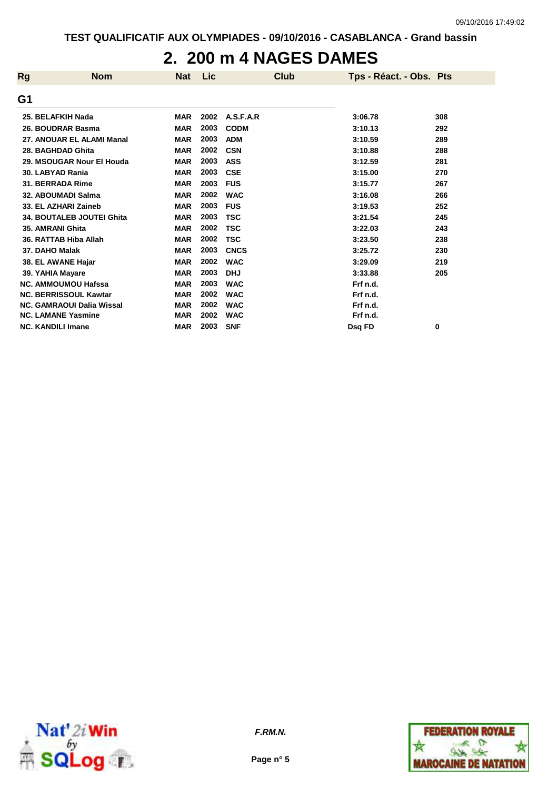### **2. 200 m 4 NAGES DAMES**

| <b>Rg</b> | <b>Nom</b>                       | <b>Nat</b> | Lic  | <b>Club</b> | Tps - Réact. - Obs. Pts |     |
|-----------|----------------------------------|------------|------|-------------|-------------------------|-----|
| G1        |                                  |            |      |             |                         |     |
|           | 25. BELAFKIH Nada                | <b>MAR</b> | 2002 | A.S.F.A.R   | 3:06.78                 | 308 |
|           | 26. BOUDRAR Basma                | <b>MAR</b> | 2003 | <b>CODM</b> | 3:10.13                 | 292 |
|           | 27. ANOUAR EL ALAMI Manal        | <b>MAR</b> | 2003 | <b>ADM</b>  | 3:10.59                 | 289 |
|           | 28. BAGHDAD Ghita                | <b>MAR</b> | 2002 | <b>CSN</b>  | 3:10.88                 | 288 |
|           | 29. MSOUGAR Nour El Houda        | <b>MAR</b> | 2003 | <b>ASS</b>  | 3:12.59                 | 281 |
|           | 30. LABYAD Rania                 | <b>MAR</b> | 2003 | <b>CSE</b>  | 3:15.00                 | 270 |
|           | 31. BERRADA Rime                 | <b>MAR</b> | 2003 | <b>FUS</b>  | 3:15.77                 | 267 |
|           | 32. ABOUMADI Salma               | <b>MAR</b> | 2002 | <b>WAC</b>  | 3:16.08                 | 266 |
|           | 33. EL AZHARI Zaineb             | <b>MAR</b> | 2003 | <b>FUS</b>  | 3:19.53                 | 252 |
|           | <b>34. BOUTALEB JOUTEI Ghita</b> | <b>MAR</b> | 2003 | <b>TSC</b>  | 3:21.54                 | 245 |
|           | 35. AMRANI Ghita                 | <b>MAR</b> | 2002 | <b>TSC</b>  | 3:22.03                 | 243 |
|           | 36. RATTAB Hiba Allah            | <b>MAR</b> | 2002 | <b>TSC</b>  | 3:23.50                 | 238 |
|           | 37. DAHO Malak                   | <b>MAR</b> | 2003 | <b>CNCS</b> | 3:25.72                 | 230 |
|           | 38. EL AWANE Hajar               | <b>MAR</b> | 2002 | <b>WAC</b>  | 3:29.09                 | 219 |
|           | 39. YAHIA Mayare                 | <b>MAR</b> | 2003 | <b>DHJ</b>  | 3:33.88                 | 205 |
|           | <b>NC. AMMOUMOU Hafssa</b>       | <b>MAR</b> | 2003 | <b>WAC</b>  | Frf n.d.                |     |
|           | <b>NC. BERRISSOUL Kawtar</b>     | <b>MAR</b> | 2002 | <b>WAC</b>  | Frf n.d.                |     |
|           | <b>NC. GAMRAOUI Dalia Wissal</b> | <b>MAR</b> | 2002 | <b>WAC</b>  | Frf n.d.                |     |
|           | <b>NC. LAMANE Yasmine</b>        | <b>MAR</b> | 2002 | <b>WAC</b>  | Frf n.d.                |     |
|           | <b>NC. KANDILI Imane</b>         | <b>MAR</b> | 2003 | <b>SNF</b>  | Dsq FD                  | 0   |



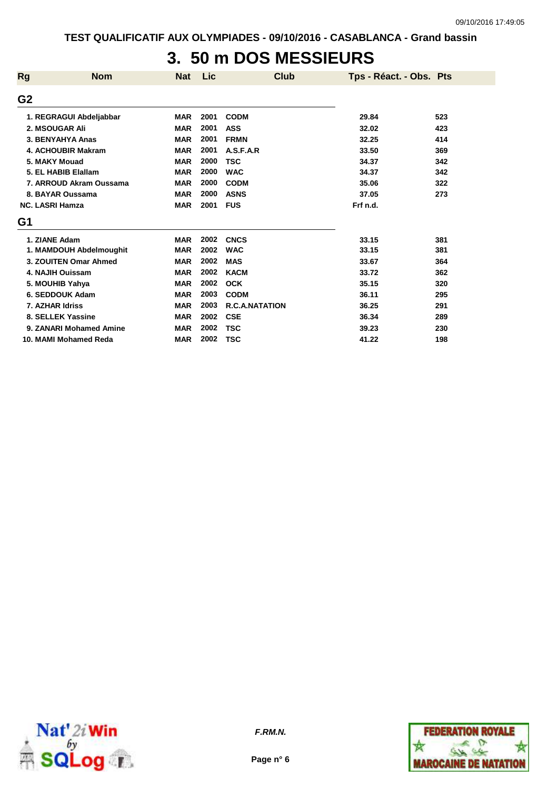# **3. 50 m DOS MESSIEURS**

| <b>Rg</b>      | <b>Nom</b>              | <b>Nat</b> | Lic  | <b>Club</b>           | Tps - Réact. - Obs. Pts |     |
|----------------|-------------------------|------------|------|-----------------------|-------------------------|-----|
| G <sub>2</sub> |                         |            |      |                       |                         |     |
|                | 1. REGRAGUI Abdeljabbar | <b>MAR</b> | 2001 | <b>CODM</b>           | 29.84                   | 523 |
|                | 2. MSOUGAR Ali          | <b>MAR</b> | 2001 | <b>ASS</b>            | 32.02                   | 423 |
|                | 3. BENYAHYA Anas        | <b>MAR</b> | 2001 | <b>FRMN</b>           | 32.25                   | 414 |
|                | 4. ACHOUBIR Makram      | <b>MAR</b> | 2001 | A.S.F.A.R             | 33.50                   | 369 |
|                | 5. MAKY Mouad           | <b>MAR</b> | 2000 | <b>TSC</b>            | 34.37                   | 342 |
|                | 5. EL HABIB Elallam     | <b>MAR</b> | 2000 | <b>WAC</b>            | 34.37                   | 342 |
|                | 7. ARROUD Akram Oussama | <b>MAR</b> | 2000 | <b>CODM</b>           | 35.06                   | 322 |
|                | 8. BAYAR Oussama        | <b>MAR</b> | 2000 | <b>ASNS</b>           | 37.05                   | 273 |
|                | <b>NC. LASRI Hamza</b>  | <b>MAR</b> | 2001 | <b>FUS</b>            | Frf n.d.                |     |
| G1             |                         |            |      |                       |                         |     |
|                | 1. ZIANE Adam           | <b>MAR</b> | 2002 | <b>CNCS</b>           | 33.15                   | 381 |
|                | 1. MAMDOUH Abdelmoughit | <b>MAR</b> | 2002 | <b>WAC</b>            | 33.15                   | 381 |
|                | 3. ZOUITEN Omar Ahmed   | <b>MAR</b> | 2002 | <b>MAS</b>            | 33.67                   | 364 |
|                | 4. NAJIH Ouissam        | <b>MAR</b> | 2002 | <b>KACM</b>           | 33.72                   | 362 |
|                | 5. MOUHIB Yahya         | <b>MAR</b> | 2002 | <b>OCK</b>            | 35.15                   | 320 |
|                | 6. SEDDOUK Adam         | <b>MAR</b> | 2003 | <b>CODM</b>           | 36.11                   | 295 |
|                | 7. AZHAR Idriss         | <b>MAR</b> | 2003 | <b>R.C.A.NATATION</b> | 36.25                   | 291 |
|                | 8. SELLEK Yassine       | <b>MAR</b> | 2002 | <b>CSE</b>            | 36.34                   | 289 |
|                | 9. ZANARI Mohamed Amine | <b>MAR</b> | 2002 | <b>TSC</b>            | 39.23                   | 230 |
|                | 10. MAMI Mohamed Reda   | <b>MAR</b> | 2002 | <b>TSC</b>            | 41.22                   | 198 |



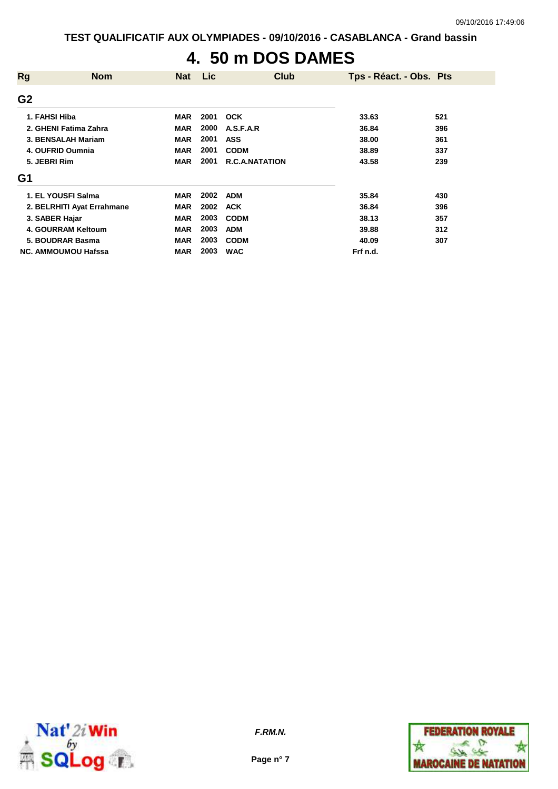# **4. 50 m DOS DAMES**

| <b>Rg</b>      | <b>Nom</b>                 | <b>Nat</b> | <b>Lic</b> | Club                  | Tps - Réact. - Obs. Pts |     |
|----------------|----------------------------|------------|------------|-----------------------|-------------------------|-----|
| G <sub>2</sub> |                            |            |            |                       |                         |     |
| 1. FAHSI Hiba  |                            | <b>MAR</b> | 2001       | <b>OCK</b>            | 33.63                   | 521 |
|                | 2. GHENI Fatima Zahra      | <b>MAR</b> | 2000       | A.S.F.A.R             | 36.84                   | 396 |
|                | 3. BENSALAH Mariam         | <b>MAR</b> | 2001       | <b>ASS</b>            | 38.00                   | 361 |
|                | 4. OUFRID Oumnia           | <b>MAR</b> | 2001       | <b>CODM</b>           | 38.89                   | 337 |
| 5. JEBRI Rim   |                            | <b>MAR</b> | 2001       | <b>R.C.A.NATATION</b> | 43.58                   | 239 |
| G1             |                            |            |            |                       |                         |     |
|                | 1. EL YOUSFI Salma         | <b>MAR</b> | 2002       | <b>ADM</b>            | 35.84                   | 430 |
|                | 2. BELRHITI Ayat Errahmane | <b>MAR</b> | 2002       | <b>ACK</b>            | 36.84                   | 396 |
| 3. SABER Hajar |                            | <b>MAR</b> | 2003       | <b>CODM</b>           | 38.13                   | 357 |
|                | 4. GOURRAM Keltoum         | <b>MAR</b> | 2003       | <b>ADM</b>            | 39.88                   | 312 |
|                | 5. BOUDRAR Basma           | <b>MAR</b> | 2003       | <b>CODM</b>           | 40.09                   | 307 |
|                | <b>NC. AMMOUMOU Hafssa</b> | <b>MAR</b> | 2003       | <b>WAC</b>            | Frf n.d.                |     |



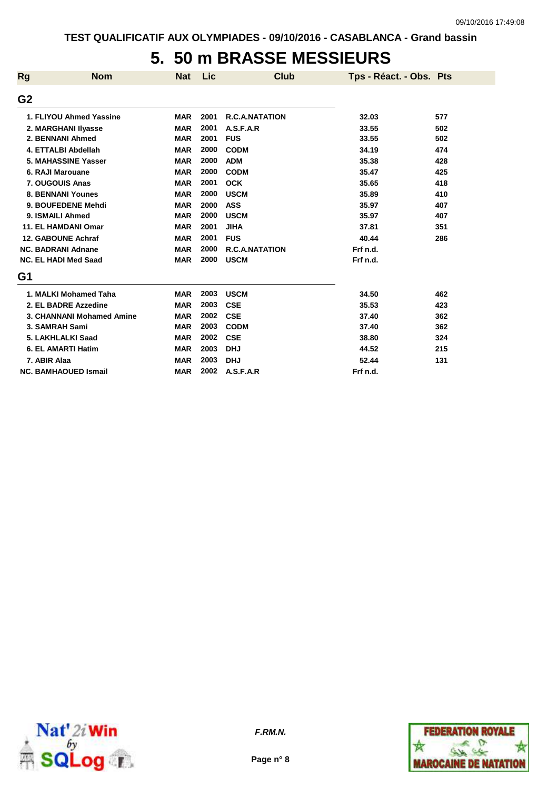## **5. 50 m BRASSE MESSIEURS**

| <b>Rg</b>      | <b>Nom</b>                  | <b>Nat</b> | Lic  | <b>Club</b>           | Tps - Réact. - Obs. Pts |     |
|----------------|-----------------------------|------------|------|-----------------------|-------------------------|-----|
| G <sub>2</sub> |                             |            |      |                       |                         |     |
|                | 1. FLIYOU Ahmed Yassine     | <b>MAR</b> | 2001 | <b>R.C.A.NATATION</b> | 32.03                   | 577 |
|                | 2. MARGHANI IIyasse         | <b>MAR</b> | 2001 | A.S.F.A.R             | 33.55                   | 502 |
|                | 2. BENNANI Ahmed            | <b>MAR</b> | 2001 | <b>FUS</b>            | 33.55                   | 502 |
|                | 4. ETTALBI Abdellah         | <b>MAR</b> | 2000 | <b>CODM</b>           | 34.19                   | 474 |
|                | 5. MAHASSINE Yasser         | <b>MAR</b> | 2000 | <b>ADM</b>            | 35.38                   | 428 |
|                | 6. RAJI Marouane            | <b>MAR</b> | 2000 | <b>CODM</b>           | 35.47                   | 425 |
|                | 7. OUGOUIS Anas             | <b>MAR</b> | 2001 | <b>OCK</b>            | 35.65                   | 418 |
|                | <b>8. BENNANI Younes</b>    | <b>MAR</b> | 2000 | <b>USCM</b>           | 35.89                   | 410 |
|                | 9. BOUFEDENE Mehdi          | <b>MAR</b> | 2000 | <b>ASS</b>            | 35.97                   | 407 |
|                | 9. ISMAILI Ahmed            | <b>MAR</b> | 2000 | <b>USCM</b>           | 35.97                   | 407 |
|                | 11. EL HAMDANI Omar         | <b>MAR</b> | 2001 | <b>JIHA</b>           | 37.81                   | 351 |
|                | 12. GABOUNE Achraf          | <b>MAR</b> | 2001 | <b>FUS</b>            | 40.44                   | 286 |
|                | <b>NC. BADRANI Adnane</b>   | <b>MAR</b> | 2000 | <b>R.C.A.NATATION</b> | Frf n.d.                |     |
|                | <b>NC. EL HADI Med Saad</b> | <b>MAR</b> | 2000 | <b>USCM</b>           | Frf n.d.                |     |
| G1             |                             |            |      |                       |                         |     |
|                | 1. MALKI Mohamed Taha       | <b>MAR</b> | 2003 | <b>USCM</b>           | 34.50                   | 462 |
|                | 2. EL BADRE Azzedine        | <b>MAR</b> | 2003 | <b>CSE</b>            | 35.53                   | 423 |
|                | 3. CHANNANI Mohamed Amine   | <b>MAR</b> | 2002 | <b>CSE</b>            | 37.40                   | 362 |
|                | 3. SAMRAH Sami              | <b>MAR</b> | 2003 | <b>CODM</b>           | 37.40                   | 362 |
|                | 5. LAKHLALKI Saad           | <b>MAR</b> | 2002 | <b>CSE</b>            | 38.80                   | 324 |
|                | 6. EL AMARTI Hatim          | <b>MAR</b> | 2003 | <b>DHJ</b>            | 44.52                   | 215 |
|                | 7. ABIR Alaa                | <b>MAR</b> | 2003 | <b>DHJ</b>            | 52.44                   | 131 |
|                | <b>NC. BAMHAOUED Ismail</b> | <b>MAR</b> | 2002 | A.S.F.A.R             | Frf n.d.                |     |



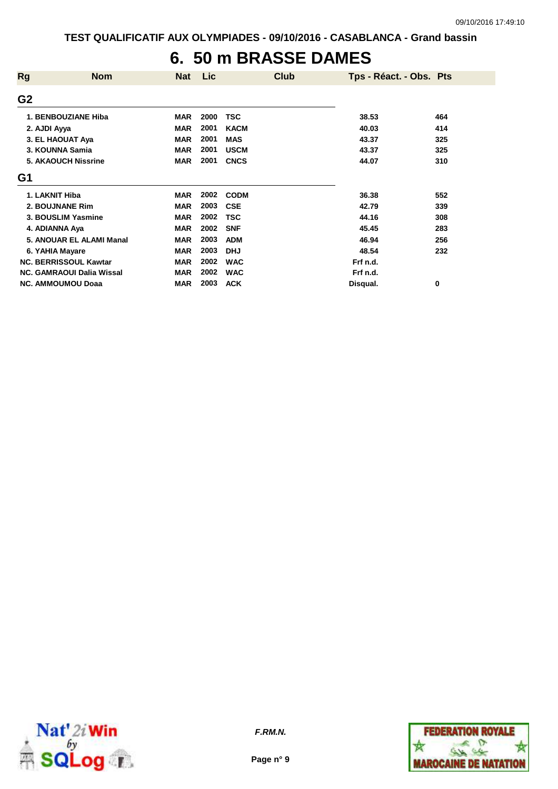## **6. 50 m BRASSE DAMES**

| <b>Rg</b>      | <b>Nom</b>                       | Nat        | Lic  | Club        | Tps - Réact. - Obs. Pts |     |
|----------------|----------------------------------|------------|------|-------------|-------------------------|-----|
| G <sub>2</sub> |                                  |            |      |             |                         |     |
|                | 1. BENBOUZIANE Hiba              | <b>MAR</b> | 2000 | <b>TSC</b>  | 38.53                   | 464 |
|                | 2. AJDI Ayya                     | <b>MAR</b> | 2001 | <b>KACM</b> | 40.03                   | 414 |
|                | 3. EL HAOUAT Aya                 | <b>MAR</b> | 2001 | <b>MAS</b>  | 43.37                   | 325 |
|                | 3. KOUNNA Samia                  | <b>MAR</b> | 2001 | <b>USCM</b> | 43.37                   | 325 |
|                | <b>5. AKAOUCH Nissrine</b>       | <b>MAR</b> | 2001 | <b>CNCS</b> | 44.07                   | 310 |
| G1             |                                  |            |      |             |                         |     |
|                | 1. LAKNIT Hiba                   | <b>MAR</b> | 2002 | <b>CODM</b> | 36.38                   | 552 |
|                | 2. BOUJNANE Rim                  | <b>MAR</b> | 2003 | <b>CSE</b>  | 42.79                   | 339 |
|                | 3. BOUSLIM Yasmine               | <b>MAR</b> | 2002 | <b>TSC</b>  | 44.16                   | 308 |
|                | 4. ADIANNA Aya                   | <b>MAR</b> | 2002 | <b>SNF</b>  | 45.45                   | 283 |
|                | 5. ANOUAR EL ALAMI Manal         | <b>MAR</b> | 2003 | <b>ADM</b>  | 46.94                   | 256 |
|                | 6. YAHIA Mayare                  | <b>MAR</b> | 2003 | <b>DHJ</b>  | 48.54                   | 232 |
|                | <b>NC. BERRISSOUL Kawtar</b>     | <b>MAR</b> | 2002 | <b>WAC</b>  | Frf n.d.                |     |
|                | <b>NC. GAMRAOUI Dalia Wissal</b> | <b>MAR</b> | 2002 | <b>WAC</b>  | Frf n.d.                |     |
|                | <b>NC. AMMOUMOU Doaa</b>         | <b>MAR</b> | 2003 | <b>ACK</b>  | Disqual.                | 0   |



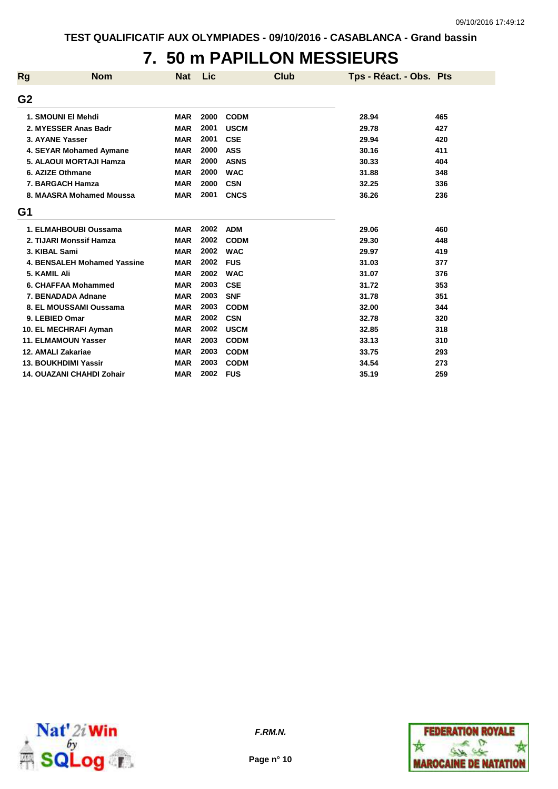# **7. 50 m PAPILLON MESSIEURS**

| <b>Rg</b>      | <b>Nom</b>                         | <b>Nat</b> | Lic  | Club        | Tps - Réact. - Obs. Pts |     |
|----------------|------------------------------------|------------|------|-------------|-------------------------|-----|
| G <sub>2</sub> |                                    |            |      |             |                         |     |
|                | 1. SMOUNI EI Mehdi                 | <b>MAR</b> | 2000 | <b>CODM</b> | 28.94                   | 465 |
|                | 2. MYESSER Anas Badr               | <b>MAR</b> | 2001 | <b>USCM</b> | 29.78                   | 427 |
|                | 3. AYANE Yasser                    | <b>MAR</b> | 2001 | <b>CSE</b>  | 29.94                   | 420 |
|                | 4. SEYAR Mohamed Aymane            | <b>MAR</b> | 2000 | <b>ASS</b>  | 30.16                   | 411 |
|                | 5. ALAOUI MORTAJI Hamza            | <b>MAR</b> | 2000 | <b>ASNS</b> | 30.33                   | 404 |
|                | 6. AZIZE Othmane                   | <b>MAR</b> | 2000 | <b>WAC</b>  | 31.88                   | 348 |
|                | 7. BARGACH Hamza                   | <b>MAR</b> | 2000 | <b>CSN</b>  | 32.25                   | 336 |
|                | 8. MAASRA Mohamed Moussa           | <b>MAR</b> | 2001 | <b>CNCS</b> | 36.26                   | 236 |
| G1             |                                    |            |      |             |                         |     |
|                | 1. ELMAHBOUBI Oussama              | <b>MAR</b> | 2002 | <b>ADM</b>  | 29.06                   | 460 |
|                | 2. TIJARI Monssif Hamza            | <b>MAR</b> | 2002 | <b>CODM</b> | 29.30                   | 448 |
|                | 3. KIBAL Sami                      | <b>MAR</b> | 2002 | <b>WAC</b>  | 29.97                   | 419 |
|                | <b>4. BENSALEH Mohamed Yassine</b> | <b>MAR</b> | 2002 | <b>FUS</b>  | 31.03                   | 377 |
|                | 5. KAMIL Ali                       | <b>MAR</b> | 2002 | <b>WAC</b>  | 31.07                   | 376 |
|                | 6. CHAFFAA Mohammed                | <b>MAR</b> | 2003 | <b>CSE</b>  | 31.72                   | 353 |
|                | 7. BENADADA Adnane                 | <b>MAR</b> | 2003 | <b>SNF</b>  | 31.78                   | 351 |
|                | 8. EL MOUSSAMI Oussama             | <b>MAR</b> | 2003 | <b>CODM</b> | 32.00                   | 344 |
|                | 9. LEBIED Omar                     | <b>MAR</b> | 2002 | <b>CSN</b>  | 32.78                   | 320 |
|                | 10. EL MECHRAFI Ayman              | <b>MAR</b> | 2002 | <b>USCM</b> | 32.85                   | 318 |
|                | <b>11. ELMAMOUN Yasser</b>         | <b>MAR</b> | 2003 | <b>CODM</b> | 33.13                   | 310 |
|                | 12. AMALI Zakariae                 | <b>MAR</b> | 2003 | <b>CODM</b> | 33.75                   | 293 |
|                | <b>13. BOUKHDIMI Yassir</b>        | <b>MAR</b> | 2003 | <b>CODM</b> | 34.54                   | 273 |
|                | <b>14. OUAZANI CHAHDI Zohair</b>   | <b>MAR</b> | 2002 | <b>FUS</b>  | 35.19                   | 259 |



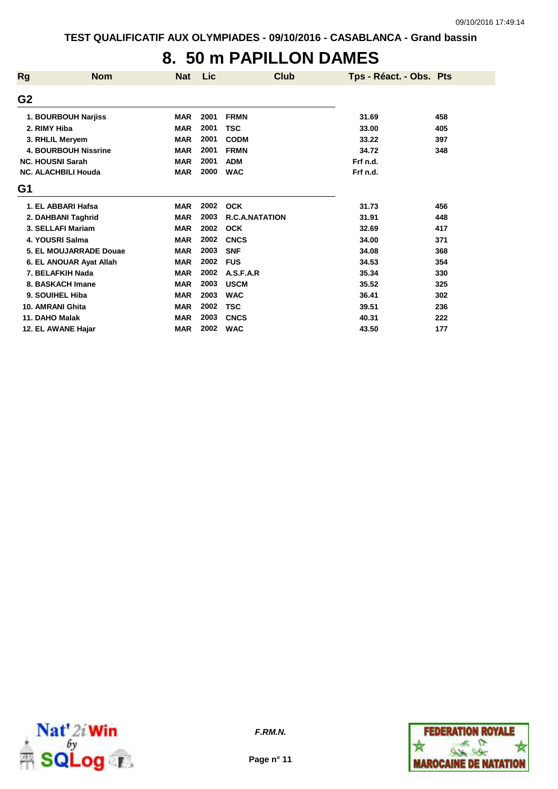## **8. 50 m PAPILLON DAMES**

| <b>Rg</b>      | <b>Nom</b>                  | <b>Nat</b> | Lic  | Club                  | Tps - Réact. - Obs. Pts |     |
|----------------|-----------------------------|------------|------|-----------------------|-------------------------|-----|
| G <sub>2</sub> |                             |            |      |                       |                         |     |
|                | 1. BOURBOUH Narjiss         | <b>MAR</b> | 2001 | <b>FRMN</b>           | 31.69                   | 458 |
| 2. RIMY Hiba   |                             | <b>MAR</b> | 2001 | <b>TSC</b>            | 33.00                   | 405 |
|                | 3. RHLIL Meryem             | <b>MAR</b> | 2001 | <b>CODM</b>           | 33.22                   | 397 |
|                | <b>4. BOURBOUH Nissrine</b> | <b>MAR</b> | 2001 | <b>FRMN</b>           | 34.72                   | 348 |
|                | <b>NC. HOUSNI Sarah</b>     | <b>MAR</b> | 2001 | <b>ADM</b>            | Frf n.d.                |     |
|                | <b>NC. ALACHBILI Houda</b>  | <b>MAR</b> | 2000 | <b>WAC</b>            | Frf n.d.                |     |
| G1             |                             |            |      |                       |                         |     |
|                | 1. EL ABBARI Hafsa          | <b>MAR</b> | 2002 | <b>OCK</b>            | 31.73                   | 456 |
|                | 2. DAHBANI Taghrid          | <b>MAR</b> | 2003 | <b>R.C.A.NATATION</b> | 31.91                   | 448 |
|                | 3. SELLAFI Mariam           | <b>MAR</b> | 2002 | <b>OCK</b>            | 32.69                   | 417 |
|                | 4. YOUSRI Salma             | <b>MAR</b> | 2002 | <b>CNCS</b>           | 34.00                   | 371 |
|                | 5. EL MOUJARRADE Douae      | <b>MAR</b> | 2003 | <b>SNF</b>            | 34.08                   | 368 |
|                | 6. EL ANOUAR Ayat Allah     | <b>MAR</b> | 2002 | <b>FUS</b>            | 34.53                   | 354 |
|                | 7. BELAFKIH Nada            | <b>MAR</b> | 2002 | A.S.F.A.R             | 35.34                   | 330 |
|                | 8. BASKACH Imane            | <b>MAR</b> | 2003 | <b>USCM</b>           | 35.52                   | 325 |
|                | 9. SOUIHEL Hiba             | <b>MAR</b> | 2003 | <b>WAC</b>            | 36.41                   | 302 |
|                | 10. AMRANI Ghita            | <b>MAR</b> | 2002 | <b>TSC</b>            | 39.51                   | 236 |
| 11. DAHO Malak |                             | <b>MAR</b> | 2003 | <b>CNCS</b>           | 40.31                   | 222 |
|                | 12. EL AWANE Haiar          | <b>MAR</b> | 2002 | <b>WAC</b>            | 43.50                   | 177 |



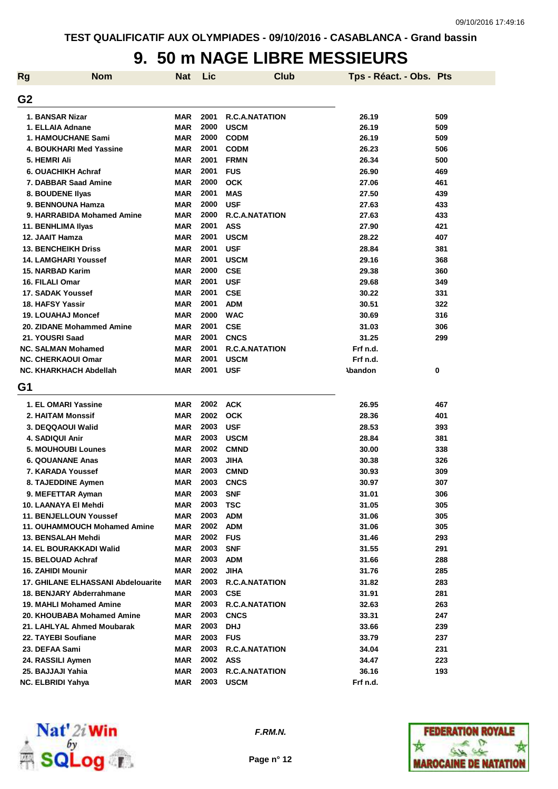#### **9. 50 m NAGE LIBRE MESSIEURS**

| <b>Rg</b>      | <b>Nom</b>                                | <b>Nat</b> | Lic  | <b>Club</b>           | Tps - Réact. - Obs. Pts |     |
|----------------|-------------------------------------------|------------|------|-----------------------|-------------------------|-----|
| G <sub>2</sub> |                                           |            |      |                       |                         |     |
|                | 1. BANSAR Nizar                           | <b>MAR</b> | 2001 | <b>R.C.A.NATATION</b> | 26.19                   | 509 |
|                | 1. ELLAIA Adnane                          | <b>MAR</b> | 2000 | <b>USCM</b>           | 26.19                   | 509 |
|                | <b>1. HAMOUCHANE Sami</b>                 | <b>MAR</b> | 2000 | <b>CODM</b>           | 26.19                   | 509 |
|                | 4. BOUKHARI Med Yassine                   | <b>MAR</b> | 2001 | <b>CODM</b>           | 26.23                   | 506 |
|                | 5. HEMRI Ali                              | <b>MAR</b> | 2001 | <b>FRMN</b>           | 26.34                   | 500 |
|                | 6. OUACHIKH Achraf                        | <b>MAR</b> | 2001 | <b>FUS</b>            | 26.90                   | 469 |
|                | 7. DABBAR Saad Amine                      | <b>MAR</b> | 2000 | <b>OCK</b>            | 27.06                   | 461 |
|                | 8. BOUDENE Ilyas                          | <b>MAR</b> | 2001 | <b>MAS</b>            | 27.50                   | 439 |
|                | 9. BENNOUNA Hamza                         | <b>MAR</b> | 2000 | <b>USF</b>            | 27.63                   | 433 |
|                | 9. HARRABIDA Mohamed Amine                | <b>MAR</b> | 2000 | <b>R.C.A.NATATION</b> | 27.63                   | 433 |
|                | 11. BENHLIMA Ilyas                        | <b>MAR</b> | 2001 | <b>ASS</b>            | 27.90                   | 421 |
|                | 12. JAAIT Hamza                           | <b>MAR</b> | 2001 | <b>USCM</b>           | 28.22                   | 407 |
|                | <b>13. BENCHEIKH Driss</b>                | <b>MAR</b> | 2001 | <b>USF</b>            | 28.84                   | 381 |
|                | <b>14. LAMGHARI Youssef</b>               | <b>MAR</b> | 2001 | <b>USCM</b>           | 29.16                   | 368 |
|                | 15. NARBAD Karim                          | <b>MAR</b> | 2000 | <b>CSE</b>            | 29.38                   | 360 |
|                | 16. FILALI Omar                           | <b>MAR</b> | 2001 | <b>USF</b>            | 29.68                   | 349 |
|                | 17. SADAK Youssef                         | <b>MAR</b> | 2001 | <b>CSE</b>            | 30.22                   | 331 |
|                | 18. HAFSY Yassir                          | <b>MAR</b> | 2001 | <b>ADM</b>            | 30.51                   | 322 |
|                | <b>19. LOUAHAJ Moncef</b>                 | <b>MAR</b> | 2000 | <b>WAC</b>            | 30.69                   | 316 |
|                | 20. ZIDANE Mohammed Amine                 | <b>MAR</b> | 2001 | <b>CSE</b>            | 31.03                   | 306 |
|                | 21. YOUSRI Saad                           | <b>MAR</b> | 2001 | <b>CNCS</b>           | 31.25                   | 299 |
|                | <b>NC. SALMAN Mohamed</b>                 | <b>MAR</b> | 2001 | <b>R.C.A.NATATION</b> | Frf n.d.                |     |
|                | <b>NC. CHERKAOUI Omar</b>                 | <b>MAR</b> | 2001 | <b>USCM</b>           | Frf n.d.                |     |
|                | NC. KHARKHACH Abdellah                    | <b>MAR</b> | 2001 | <b>USF</b>            | <b>Abandon</b>          | 0   |
| G1             |                                           |            |      |                       |                         |     |
|                | 1. EL OMARI Yassine                       | <b>MAR</b> | 2002 | <b>ACK</b>            | 26.95                   | 467 |
|                | 2. HAITAM Monssif                         | <b>MAR</b> | 2002 | <b>OCK</b>            | 28.36                   | 401 |
|                | 3. DEQQAOUI Walid                         | <b>MAR</b> | 2003 | <b>USF</b>            | 28.53                   | 393 |
|                | 4. SADIQUI Anir                           | <b>MAR</b> | 2003 | <b>USCM</b>           | 28.84                   | 381 |
|                | <b>5. MOUHOUBI Lounes</b>                 | <b>MAR</b> | 2002 | <b>CMND</b>           | 30.00                   | 338 |
|                | <b>6. QOUANANE Anas</b>                   | <b>MAR</b> | 2003 | <b>JIHA</b>           | 30.38                   | 326 |
|                | 7. KARADA Youssef                         | <b>MAR</b> | 2003 | <b>CMND</b>           | 30.93                   | 309 |
|                | 8. TAJEDDINE Aymen                        | <b>MAR</b> | 2003 | <b>CNCS</b>           | 30.97                   | 307 |
|                | 9. MEFETTAR Ayman                         | MAR        | 2003 | <b>SNF</b>            | 31.01                   | 306 |
|                | 10. LAANAYA EI Mehdi                      | MAR        | 2003 | <b>TSC</b>            | 31.05                   | 305 |
|                | <b>11. BENJELLOUN Youssef</b>             | <b>MAR</b> | 2003 | <b>ADM</b>            | 31.06                   | 305 |
|                | 11. OUHAMMOUCH Mohamed Amine              | MAR        | 2002 | <b>ADM</b>            | 31.06                   | 305 |
|                | 13. BENSALAH Mehdi                        | <b>MAR</b> | 2002 | <b>FUS</b>            | 31.46                   | 293 |
|                | 14. EL BOURAKKADI Walid                   | <b>MAR</b> | 2003 | <b>SNF</b>            | 31.55                   | 291 |
|                | 15. BELOUAD Achraf                        | <b>MAR</b> | 2003 | <b>ADM</b>            | 31.66                   | 288 |
|                | 16. ZAHIDI Mounir                         | <b>MAR</b> | 2002 | <b>JIHA</b>           | 31.76                   | 285 |
|                | <b>17. GHILANE ELHASSANI Abdelouarite</b> | <b>MAR</b> | 2003 | <b>R.C.A.NATATION</b> | 31.82                   | 283 |
|                | 18. BENJARY Abderrahmane                  | <b>MAR</b> | 2003 | <b>CSE</b>            | 31.91                   | 281 |
|                | 19. MAHLI Mohamed Amine                   | <b>MAR</b> | 2003 | <b>R.C.A.NATATION</b> | 32.63                   | 263 |
|                | 20. KHOUBABA Mohamed Amine                | <b>MAR</b> | 2003 | <b>CNCS</b>           | 33.31                   | 247 |
|                | 21. LAHLYAL Ahmed Moubarak                | <b>MAR</b> | 2003 | <b>DHJ</b>            | 33.66                   | 239 |
|                | 22. TAYEBI Soufiane                       | <b>MAR</b> | 2003 | <b>FUS</b>            | 33.79                   | 237 |
|                | 23. DEFAA Sami                            | <b>MAR</b> | 2003 | <b>R.C.A.NATATION</b> | 34.04                   | 231 |
|                | 24. RASSILI Aymen                         | <b>MAR</b> | 2002 | ASS                   | 34.47                   | 223 |
|                | 25. BAJJAJI Yahia                         | <b>MAR</b> | 2003 | <b>R.C.A.NATATION</b> | 36.16                   | 193 |
|                | <b>NC. ELBRIDI Yahya</b>                  | <b>MAR</b> | 2003 | <b>USCM</b>           | Frf n.d.                |     |